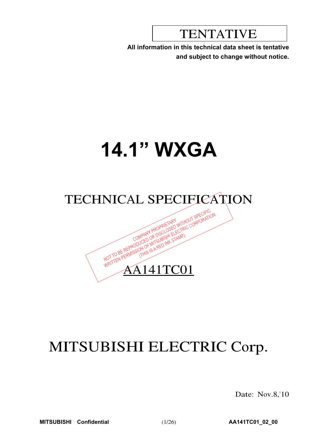# TENTATIVE

**All information in this technical data sheet is tentative and subject to change without notice.**

# **14.1" WXGA**

# TECHNICAL SPECIFICATION NASHOW OF WITHOUT SPECIFICATION

WRITTEN AA141TC01

# MITSUBISHI ELECTRIC Corp.

Date: Nov.8,'10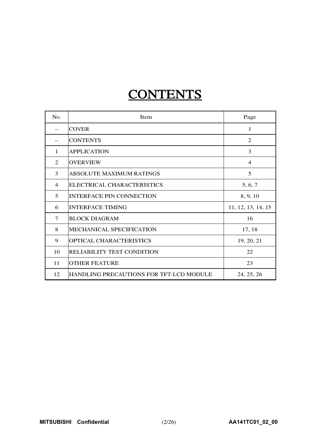# **CONTENTS**

| N <sub>0</sub> . | Item                                    | Page               |
|------------------|-----------------------------------------|--------------------|
|                  | <b>COVER</b>                            | 1                  |
|                  | <b>CONTENTS</b>                         | $\mathfrak{D}$     |
| $\mathbf{1}$     | <b>APPLICATION</b>                      | 3                  |
| $\mathfrak{D}$   | <b>OVERVIEW</b>                         | $\overline{4}$     |
| 3                | <b>ABSOLUTE MAXIMUM RATINGS</b>         | 5                  |
| $\overline{4}$   | ELECTRICAL CHARACTERISTICS              | 5, 6, 7            |
| 5                | <b>INTERFACE PIN CONNECTION</b>         | 8, 9, 10           |
| 6                | <b>INTERFACE TIMING</b>                 | 11, 12, 13, 14, 15 |
| 7                | <b>BLOCK DIAGRAM</b>                    | 16                 |
| 8                | MECHANICAL SPECIFICATION                | 17, 18             |
| 9                | OPTICAL CHARACTERISTICS                 | 19, 20, 21         |
| 10               | RELIABILITY TEST CONDITION              | 22                 |
| 11               | <b>OTHER FEATURE</b>                    | 23                 |
| 12               | HANDLING PRECAUTIONS FOR TFT-LCD MODULE | 24, 25, 26         |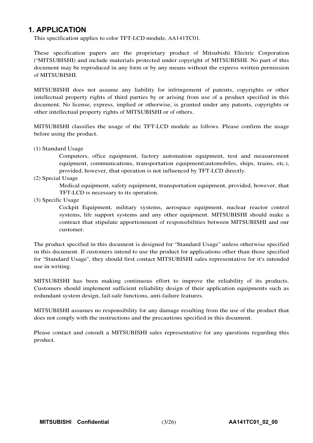### **1. APPLICATION**

This specification applies to color TFT-LCD module, AA141TC01.

These specification papers are the proprietary product of Mitsubishi Electric Corporation ("MITSUBISHI) and include materials protected under copyright of MITSUBISHI. No part of this document may be reproduced in any form or by any means without the express written permission of MITSUBISHI.

MITSUBISHI does not assume any liability for infringement of patents, copyrights or other intellectual property rights of third parties by or arising from use of a product specified in this document. No license, express, implied or otherwise, is granted under any patents, copyrights or other intellectual property rights of MITSUBISHI or of others.

MITSUBISHI classifies the usage of the TFT-LCD module as follows. Please confirm the usage before using the product.

(1) Standard Usage

Computers, office equipment, factory automation equipment, test and measurement equipment, communications, transportation equipment(automobiles, ships, trains, etc.), provided, however, that operation is not influenced by TFT-LCD directly.

(2) Special Usage

Medical equipment, safety equipment, transportation equipment, provided, however, that TFT-LCD is necessary to its operation.

(3) Specific Usage

Cockpit Equipment, military systems, aerospace equipment, nuclear reactor control systems, life support systems and any other equipment. MITSUBISHI should make a contract that stipulate apportionment of responsibilities between MITSUBISHI and our customer.

The product specified in this document is designed for "Standard Usage" unless otherwise specified in this document. If customers intend to use the product for applications other than those specified for "Standard Usage", they should first contact MITSUBISHI sales representative for it's intended use in writing.

MITSUBISHI has been making continuous effort to improve the reliability of its products. Customers should implement sufficient reliability design of their application equipments such as redundant system design, fail-safe functions, anti-failure features.

MITSUBISHI assumes no responsibility for any damage resulting from the use of the product that does not comply with the instructions and the precautions specified in this document.

Please contact and consult a MITSUBISHI sales representative for any questions regarding this product.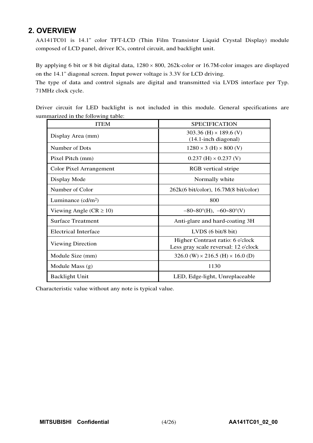# **2. OVERVIEW**

AA141TC01 is 14.1" color TFT-LCD (Thin Film Transistor Liquid Crystal Display) module composed of LCD panel, driver ICs, control circuit, and backlight unit.

By applying 6 bit or 8 bit digital data,  $1280 \times 800$ ,  $262$ k-color or 16.7M-color images are displayed on the 14.1" diagonal screen. Input power voltage is 3.3V for LCD driving.

The type of data and control signals are digital and transmitted via LVDS interface per Typ. 71MHz clock cycle.

Driver circuit for LED backlight is not included in this module. General specifications are summarized in the following table:

| <b>ITEM</b>                   | <b>SPECIFICATION</b>                                                     |
|-------------------------------|--------------------------------------------------------------------------|
| Display Area (mm)             | 303.36 (H) $\times$ 189.6 (V)<br>$(14.1$ -inch diagonal)                 |
| Number of Dots                | $1280 \times 3$ (H) $\times 800$ (V)                                     |
| Pixel Pitch (mm)              | $0.237$ (H) $\times$ 0.237 (V)                                           |
| Color Pixel Arrangement       | RGB vertical stripe                                                      |
| Display Mode                  | Normally white                                                           |
| Number of Color               | $262k(6 \text{ bit/color})$ , 16.7M $(8 \text{ bit/color})$              |
| Luminance $(cd/m2)$           | 800                                                                      |
| Viewing Angle ( $CR \ge 10$ ) | $-80-80^{\circ}$ (H), $-60-80^{\circ}$ (V)                               |
| <b>Surface Treatment</b>      | Anti-glare and hard-coating 3H                                           |
| <b>Electrical Interface</b>   | LVDS $(6 \text{ bit}/8 \text{ bit})$                                     |
| Viewing Direction             | Higher Contrast ratio: 6 o'clock<br>Less gray scale reversal: 12 o'clock |
| Module Size (mm)              | 326.0 (W) $\times$ 216.5 (H) $\times$ 16.0 (D)                           |
| Module Mass (g)               | 1130                                                                     |
| <b>Backlight Unit</b>         | LED, Edge-light, Unreplaceable                                           |

Characteristic value without any note is typical value.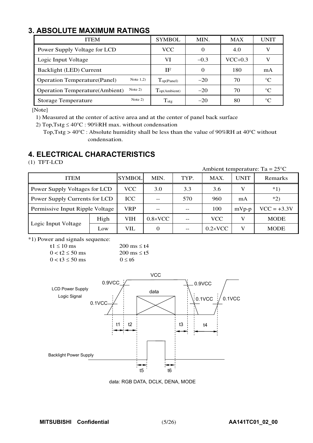# **3. ABSOLUTE MAXIMUM RATINGS**

| ITEM                                                | <b>SYMBOL</b>               | MIN.   | <b>MAX</b> | UNIT        |
|-----------------------------------------------------|-----------------------------|--------|------------|-------------|
| Power Supply Voltage for LCD                        | <b>VCC</b>                  |        | 4.0        |             |
| Logic Input Voltage                                 | VI                          | $-0.3$ | $VCC+0.3$  | V           |
| Backlight (LED) Current                             | ΙF                          |        | 180        | mA          |
| Note $1,2)$<br><b>Operation Temperature (Panel)</b> | $\Gamma_{\text{op(Panel)}}$ | $-20$  | 70         | $^{\circ}C$ |
| Note $2)$<br><b>Operation Temperature</b> (Ambient) | Top(Ambient)                | $-20$  | 70         | $^{\circ}C$ |
| Note $2)$<br><b>Storage Temperature</b>             | $T_{\text{stg}}$            | $-20$  | 80         | $\circ$ C   |

[Note]

1) Measured at the center of active area and at the center of panel back surface

2) Top, Tstg  $\leq 40^{\circ}$ C : 90%RH max. without condensation

Top,Tstg >  $40^{\circ}$ C : Absolute humidity shall be less than the value of 90%RH at 40°C without condensation.

# **4. ELECTRICAL CHARACTERISTICS**

(1) TFT-LCD

|                                 |      |               |                  |      |                  |         | Ambient temperature: Ta = $25^{\circ}$ C |
|---------------------------------|------|---------------|------------------|------|------------------|---------|------------------------------------------|
| <b>ITEM</b>                     |      | <b>SYMBOL</b> | MIN.             | TYP. | MAX.             | UNIT    | Remarks                                  |
| Power Supply Voltages for LCD   |      | VCC           | 3.0              | 3.3  | 3.6              |         | $*1)$                                    |
| Power Supply Currents for LCD   |      | <b>ICC</b>    |                  | 570  | 960              | mA      | $*2)$                                    |
| Permissive Input Ripple Voltage |      | <b>VRP</b>    |                  |      | 100              | $mVp-p$ | $VCC = +3.3V$                            |
|                                 | High | VIH           | $0.8 \times$ VCC |      | <b>VCC</b>       |         | <b>MODE</b>                              |
| Logic Input Voltage             | Low  | VIL           | 0                |      | $0.2 \times$ VCC | V       | <b>MODE</b>                              |

\*1) Power and signals sequence:

 $t1 \le 10$  ms  $200$  ms  $\le t4$  $0 < t^2 \le 50$  ms  $200$  ms  $\le t^5$  $0 < t3 \le 50$  ms  $0 \le t6$ 



data: RGB DATA, DCLK, DENA, MODE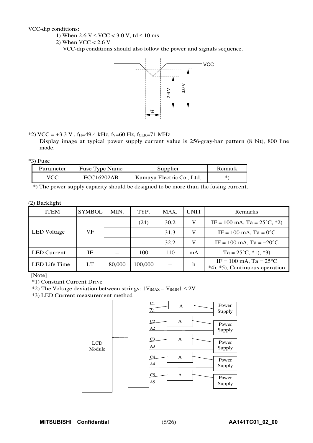VCC-dip conditions:

- 1) When  $2.6 \text{ V} \leq \text{VCC} < 3.0 \text{ V}$ , td  $\leq 10 \text{ ms}$
- 2) When  $VCC < 2.6$  V

VCC-dip conditions should also follow the power and signals sequence.



\*2) VCC =  $+3.3$  V, f<sub>H</sub>=49.4 kHz, f<sub>V</sub>=60 Hz, f<sub>CLK</sub>=71 MHz

Display image at typical power supply current value is 256-gray-bar pattern (8 bit), 800 line mode.

#### $*3$ ) Fuse

| Parameter  | <b>Fuse Type Name</b> | Supplier                  | Remark |
|------------|-----------------------|---------------------------|--------|
| <b>VCC</b> | FCC16202AB            | Kamaya Electric Co., Ltd. | *'     |

\*) The power supply capacity should be designed to be more than the fusing current.

#### (2) Backlight

| <b>ITEM</b>        | <b>SYMBOL</b> | MIN.   | TYP.    | MAX.  | <b>UNIT</b> | Remarks                                                                |
|--------------------|---------------|--------|---------|-------|-------------|------------------------------------------------------------------------|
|                    |               |        | (24)    | 30.2  | V           | IF = 100 mA, Ta = $25^{\circ}$ C, $*2$ )                               |
| <b>LED</b> Voltage | VF            |        |         | 31.3  | V           | $IF = 100 \text{ mA}$ , $Ta = 0^{\circ}C$                              |
|                    |               |        |         | 32.2  | V           | IF = 100 mA, Ta = $-20^{\circ}$ C                                      |
| <b>LED</b> Current | IF            |        | 100     | 110   | mA          | $Ta = 25^{\circ}C, *1, *3$                                             |
| LED Life Time      | LT.           | 80,000 | 100,000 | $- -$ | h           | IF = 100 mA, Ta = $25^{\circ}$ C<br>$*4$ , $*5$ , Continuous operation |

[Note]

\*1) Constant Current Drive

\*2) The Voltage deviation between strings:  $|V_{fMAX} - V_{fMIN}| \le 2V$ 

\*3) LED Current measurement method

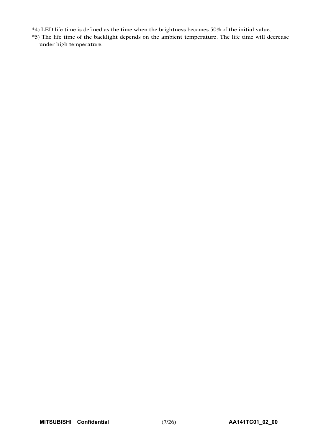- \*4) LED life time is defined as the time when the brightness becomes 50% of the initial value.
- \*5) The life time of the backlight depends on the ambient temperature. The life time will decrease under high temperature.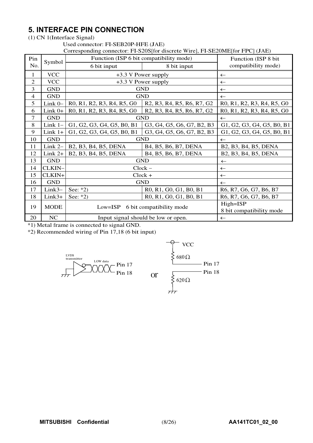# **5. INTERFACE PIN CONNECTION**

(1) CN 1(Interface Signal)

#### Used connector: FI-SEB20P-HFE (JAE)

Corresponding connector: FI-S20S[for discrete Wire], FI-SE20ME[for FPC] (JAE)

|                          |             |                                                                                                                      | COLLOSPOIRING CONNOCTOR. ITT-SZOSITOL MISCLOIG WHICH, ITT-SEZOIMETIOL ITT CT (JAE)                                   |                            |  |  |  |
|--------------------------|-------------|----------------------------------------------------------------------------------------------------------------------|----------------------------------------------------------------------------------------------------------------------|----------------------------|--|--|--|
| Pin                      | Symbol      |                                                                                                                      | Function (ISP 6 bit compatibility mode)                                                                              | Function (ISP 8 bit        |  |  |  |
| No.                      |             | 6 bit input                                                                                                          | 8 bit input                                                                                                          | compatibility mode)        |  |  |  |
| 1                        | <b>VCC</b>  |                                                                                                                      | +3.3 V Power supply                                                                                                  | $\leftarrow$               |  |  |  |
| $\mathfrak{2}$           | <b>VCC</b>  |                                                                                                                      | +3.3 V Power supply                                                                                                  | $\leftarrow$               |  |  |  |
| 3                        | <b>GND</b>  |                                                                                                                      | <b>GND</b>                                                                                                           | $\leftarrow$               |  |  |  |
| $\overline{\mathcal{L}}$ | <b>GND</b>  |                                                                                                                      | <b>GND</b>                                                                                                           | $\leftarrow$               |  |  |  |
| 5                        | Link $0-$   | R0, R1, R2, R3, R4, R5, G0                                                                                           | R <sub>2</sub> , R <sub>3</sub> , R <sub>4</sub> , R <sub>5</sub> , R <sub>6</sub> , R <sub>7</sub> , G <sub>2</sub> | R0, R1, R2, R3, R4, R5, G0 |  |  |  |
| 6                        | Link $0+$   | R <sub>0</sub> , R <sub>1</sub> , R <sub>2</sub> , R <sub>3</sub> , R <sub>4</sub> , R <sub>5</sub> , G <sub>0</sub> | R <sub>2</sub> , R <sub>3</sub> , R <sub>4</sub> , R <sub>5</sub> , R <sub>6</sub> , R <sub>7</sub> , G <sub>2</sub> | R0, R1, R2, R3, R4, R5, G0 |  |  |  |
| $\tau$                   | <b>GND</b>  |                                                                                                                      | <b>GND</b>                                                                                                           | $\leftarrow$               |  |  |  |
| 8                        | Link $1-$   | G1, G2, G3, G4, G5, B0, B1                                                                                           | G3, G4, G5, G6, G7, B2, B3                                                                                           | G1, G2, G3, G4, G5, B0, B1 |  |  |  |
| 9                        | $Link 1+$   | G1, G2, G3, G4, G5, B0, B1                                                                                           | G3, G4, G5, G6, G7, B2, B3                                                                                           | G1, G2, G3, G4, G5, B0, B1 |  |  |  |
| 10                       | <b>GND</b>  |                                                                                                                      | <b>GND</b>                                                                                                           | $\leftarrow$               |  |  |  |
| 11                       | Link $2-$   | B2, B3, B4, B5, DENA                                                                                                 | B4, B5, B6, B7, DENA                                                                                                 | B2, B3, B4, B5, DENA       |  |  |  |
| 12                       | $Link 2+$   | B2, B3, B4, B5, DENA                                                                                                 | B4, B5, B6, B7, DENA                                                                                                 | B2, B3, B4, B5, DENA       |  |  |  |
| 13                       | <b>GND</b>  |                                                                                                                      | <b>GND</b>                                                                                                           | $\leftarrow$               |  |  |  |
| 14                       | CLKIN-      |                                                                                                                      | $Clock -$                                                                                                            | $\leftarrow$               |  |  |  |
| 15                       | CLKIN+      |                                                                                                                      | $Clock +$                                                                                                            | $\leftarrow$               |  |  |  |
| 16                       | <b>GND</b>  |                                                                                                                      | <b>GND</b>                                                                                                           | $\leftarrow$               |  |  |  |
| 17                       | $Link3-$    | See: $*2)$                                                                                                           | R0, R1, G0, G1, B0, B1                                                                                               | R6, R7, G6, G7, B6, B7     |  |  |  |
| 18                       | Link3+      | See: $*2)$                                                                                                           | R0, R1, G0, G1, B0, B1                                                                                               | R6, R7, G6, G7, B6, B7     |  |  |  |
| 19                       | <b>MODE</b> | $Low = ISP$                                                                                                          | 6 bit compatibility mode                                                                                             | High=ISP                   |  |  |  |
|                          |             |                                                                                                                      |                                                                                                                      | 8 bit compatibility mode   |  |  |  |
| 20                       | NC          |                                                                                                                      | Input signal should be low or open.                                                                                  | $\leftarrow$               |  |  |  |

or

\*1) Metal frame is connected to signal GND.

\*2) Recommended wiring of Pin 17,18 (6 bit input)



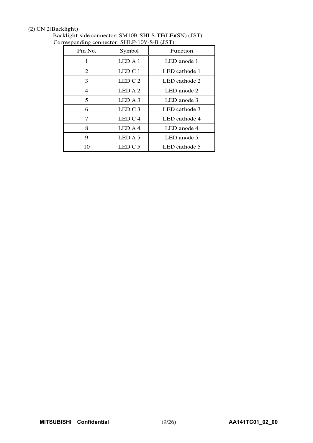#### (2) CN 2(Backlight)

| Pin No.        | Symbol    | Function      |
|----------------|-----------|---------------|
| 1              | LEDA1     | LED anode 1   |
| 2              | LED C 1   | LED cathode 1 |
| 3              | LED C $2$ | LED cathode 2 |
| $\overline{4}$ | LED A 2   | LED anode 2   |
| 5              | LED A 3   | LED anode 3   |
| 6              | LED $C_3$ | LED cathode 3 |
| 7              | LED C $4$ | LED cathode 4 |
| 8              | LED A 4   | LED anode 4   |
| 9              | LED A 5   | LED anode 5   |
| 10             | LED C 5   | LED cathode 5 |

Backlight-side connector: SM10B-SHLS-TF(LF)(SN) (JST) Corresponding connector: SHLP-10V-S-B (JST)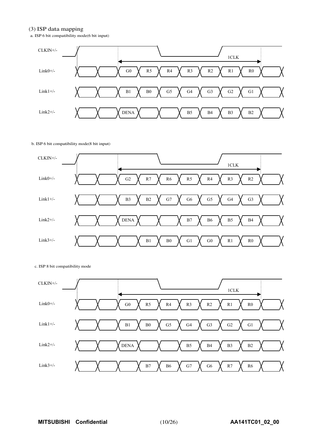#### (3) ISP data mapping

a. ISP 6 bit compatibility mode(6 bit input)



#### b. ISP 6 bit compatibility mode(8 bit input)



#### c. ISP 8 bit compatibility mode

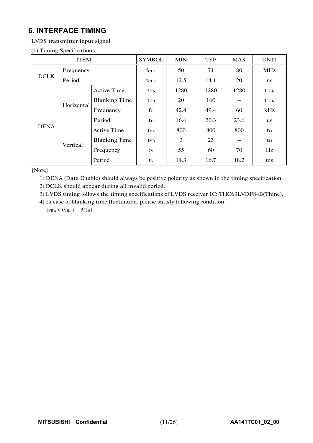# **6. INTERFACE TIMING**

LVDS transmitter input signal

#### (1) Timing Specifications

|             | <b>ITEM</b> |                      | <b>SYMBOL</b>           | <b>MIN</b> | <b>TYP</b> | <b>MAX</b> | <b>UNIT</b>      |
|-------------|-------------|----------------------|-------------------------|------------|------------|------------|------------------|
|             | Frequency   |                      | fclk                    | 50         | 71         | 80         | <b>MHz</b>       |
| <b>DCLK</b> | Period      |                      | <b>t</b> CLK            | 12.5       | 14.1       | 20         | ns               |
|             |             | <b>Active Time</b>   | $t_{HA}$                | 1280       | 1280       | 1280       | $t_{\text{CLK}}$ |
|             | Horizontal  | <b>Blanking Time</b> | $t_{HB}$                | 20         | 160        | --         | <b>t</b> CLK     |
|             |             | Frequency            | $f_{\rm H}$             | 42.4       | 49.4       | 60         | kHz              |
|             |             | Period               | th                      | 16.6       | 20.3       | 23.6       | $\mu$ s          |
| <b>DENA</b> |             | Active Time          | <b>t</b> v <sub>A</sub> | 800        | 800        | 800        | t <sub>H</sub>   |
|             | Vertical    | <b>Blanking Time</b> | <b>t</b> <sub>VB</sub>  | 3          | 23         | $-$        | t <sub>H</sub>   |
|             |             | Frequency            | fy                      | 55         | 60         | 70         | Hz               |
|             |             | Period               | ty                      | 14.3       | 16.7       | 18.2       | ms               |

[Note]

1) DENA (Data Enable) should always be positive polarity as shown in the timing specification.

2) DCLK should appear during all invalid period.

3) LVDS timing follows the timing specifications of LVDS receiver IC: THC63LVDF84B(Thine).

4) In case of blanking time fluctuation, please satisfy following condition.

 $t_{VBn}$  >  $t_{VBn-1}$  - 3( $t_{H}$ )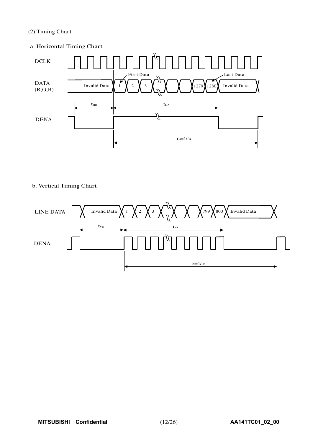#### (2) Timing Chart

#### a. Horizontal Timing Chart



#### b. Vertical Timing Chart

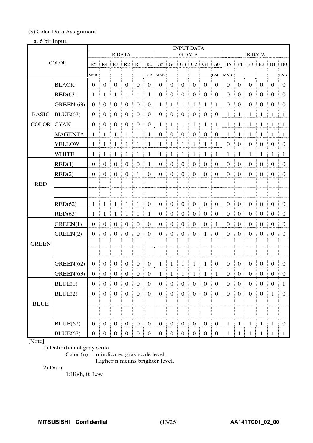#### (3) Color Data Assignment

#### a. 6 bit input

|                   |                |                   |                                                      |                                        |                        |                    |                                       |                   | <b>INPUT DATA</b>             |                   |                        |                                              |                                        |                   |                        |                   |                        |                  |                        |
|-------------------|----------------|-------------------|------------------------------------------------------|----------------------------------------|------------------------|--------------------|---------------------------------------|-------------------|-------------------------------|-------------------|------------------------|----------------------------------------------|----------------------------------------|-------------------|------------------------|-------------------|------------------------|------------------|------------------------|
|                   |                |                   | R DATA                                               |                                        |                        |                    |                                       |                   | <b>G DATA</b>                 |                   |                        |                                              |                                        |                   | <b>B DATA</b>          |                   |                        |                  |                        |
| <b>COLOR</b>      |                |                   | $R5 \parallel R4 \parallel R3 \parallel R2$          |                                        | $\parallel$ R1         | R <sub>0</sub>     |                                       |                   | $G5$ $G4$ $G3$ $G2$ $G1$ $G0$ |                   |                        |                                              |                                        |                   | B5 B4 B3 B2 B1 B0      |                   |                        |                  |                        |
|                   | MSB            |                   |                                                      |                                        |                        | LSB                | <b>MSB</b>                            |                   |                               |                   |                        | LSB                                          | <b>MSB</b>                             |                   |                        |                   |                        | LSB              |                        |
|                   | <b>BLACK</b>   | $\mathbf{0}$<br>÷ | $\boldsymbol{0}$                                     | $\boldsymbol{0}$                       | $\boldsymbol{0}$       | $\boldsymbol{0}$   | $\boldsymbol{0}$                      | $\boldsymbol{0}$  | $\mathbf{0}$                  | $\boldsymbol{0}$  | $\mathbf 0$            | $\boldsymbol{0}$                             | $\boldsymbol{0}$                       | $\mathbf{0}$      | $\boldsymbol{0}$       | $\mathbf{0}$      | $\boldsymbol{0}$       | $\mathbf{0}$     | $\overline{0}$         |
|                   | RED(63)        | -1                | $\mathbf{1}$                                         | $\mathbf{1}$                           | $\mathbf{1}$           | $\mathbf{1}$       | $\mathbf{1}$                          | $\boldsymbol{0}$  | $\boldsymbol{0}$              | $\boldsymbol{0}$  | $\boldsymbol{0}$       | $\boldsymbol{0}$                             | $\boldsymbol{0}$                       | $\boldsymbol{0}$  | $\boldsymbol{0}$       | $\overline{0}$    | $\boldsymbol{0}$       | $\mathbf{0}$     | $\overline{0}$         |
|                   | GREEN(63)      | $\boldsymbol{0}$  | $\boldsymbol{0}$                                     | $\mathbf{0}$                           | $\boldsymbol{0}$       | $\mathbf{0}$       | $\mathbf{0}$                          | 1                 | 1                             | $\mathbf{1}$      | 1                      | $\mathbf{1}$                                 | -1                                     | $\mathbf{0}$      | $\boldsymbol{0}$       | $\boldsymbol{0}$  | $\boldsymbol{0}$       | $\boldsymbol{0}$ | $\overline{0}$         |
| <b>BASIC</b>      | BLUE(63)       | $\theta$<br>÷     | $\overline{0}$                                       | $\boldsymbol{0}$                       | $\boldsymbol{0}$       | $\mathbf{0}$       | $\overline{0}$                        | $\mathbf{0}$<br>÷ | $\boldsymbol{0}$              | $\boldsymbol{0}$  | $\boldsymbol{0}$<br>ŧ  | $\boldsymbol{0}$<br>Ē.                       | ÷<br>$\boldsymbol{0}$                  | $\mathbf{1}$      | Ĩ.<br>$\mathbf{1}$     | $\mathbf{1}$      | $\mathbf{1}$           | $\overline{1}$   | $\mathbf{1}$           |
| <b>COLOR</b> CYAN |                | $\overline{0}$    | $\overline{0}$                                       | $\boldsymbol{0}$                       | $\mathbf{0}$           | $\overline{0}$     | $\boldsymbol{0}$                      | 1                 | $\mathbf{1}$                  | $\mathbf{1}$      | $\mathbf{1}$           | $\mathbf{1}$                                 | $\frac{1}{2}$                          | $\mathbf{1}$      | $\frac{1}{2}$          | $\mathbf{1}$<br>÷ | ÷<br>$\mathbf{1}$<br>÷ | -1               | $\pm 1$                |
|                   | <b>MAGENTA</b> | 1                 | $\mathbf{1}$                                         | $\mathbf{1}$                           | $\mathbf{1}$           | $\mathbf{1}$       | $\mathbf{1}$                          | $\boldsymbol{0}$  | $\boldsymbol{0}$              | $\boldsymbol{0}$  | $\boldsymbol{0}$       | $\boldsymbol{0}$                             | $\boldsymbol{0}$                       | 1                 | $\mathbf{1}$           | $\mathbf{1}$      | $\mathbf{1}$           | -1<br>÷          | $\mathbf{1}$           |
|                   | <b>YELLOW</b>  | 1                 | -1                                                   | $\overline{1}$                         | 1                      | -1                 | $\mathbf{1}$                          | 1                 | $\mathbf{1}$                  | $\mathbf{1}$      | $\mathbf{1}$           | $\mathbf{1}$                                 | 1<br>Ē                                 | $\mathbf{0}$      | $\boldsymbol{0}$       | $\overline{0}$    | $\boldsymbol{0}$       | $\mathbf{0}$     | $\boldsymbol{0}$       |
|                   | <b>WHITE</b>   | $\mathbf{1}$      | -1                                                   | ÷<br>-1                                | 1                      | 1                  | $\mathbf{1}$                          | 1                 | ÷<br>-1                       | $\mathbf{1}$      | ÷<br>$\mathbf{1}$      | $\mathbf{1}$                                 | ŧ<br>1                                 | 1                 | 1                      | 1                 | 1                      | 1                | - 1                    |
|                   | RED(1)         | $\theta$          | $\boldsymbol{0}$                                     | $\mathbf{0}$                           | $\boldsymbol{0}$       | $\mathbf{0}$       | $\mathbf{1}$                          | $\boldsymbol{0}$  | $\boldsymbol{0}$              | $\boldsymbol{0}$  | $\boldsymbol{0}$       | $\boldsymbol{0}$                             | $\boldsymbol{0}$                       | $\boldsymbol{0}$  | $\boldsymbol{0}$       | $\overline{0}$    | $\boldsymbol{0}$       | $\mathbf{0}$     | $\overline{0}$         |
|                   | RED(2)         | $\boldsymbol{0}$  | $\boldsymbol{0}$                                     | $\mathbf{0}$                           | $\mathbf{0}$           | $\mathbf{1}$       | $\boldsymbol{0}$                      | $\mathbf{0}$      | $\boldsymbol{0}$              | $\boldsymbol{0}$  | $\boldsymbol{0}$       | $\boldsymbol{0}$                             | $\mathbf{0}$                           | $\mathbf{0}$      | $\boldsymbol{0}$       | $\overline{0}$    | $\boldsymbol{0}$       | $\boldsymbol{0}$ | $\boldsymbol{0}$       |
| <b>RED</b>        |                |                   |                                                      |                                        |                        |                    |                                       |                   |                               |                   |                        |                                              |                                        |                   |                        |                   |                        |                  |                        |
|                   |                |                   |                                                      |                                        |                        |                    |                                       |                   |                               |                   |                        |                                              |                                        |                   |                        |                   |                        |                  |                        |
|                   | RED(62)        | $\mathbf{1}$      | -1                                                   | $\overline{1}$<br>÷                    | -1<br>ŧ.               | $\mathbf{1}$       | $\mathbf{0}$                          | $\boldsymbol{0}$  | $\boldsymbol{0}$              | $\boldsymbol{0}$  | $\boldsymbol{0}$       | $\boldsymbol{0}$                             | $\boldsymbol{0}$                       | $\mathbf{0}$      | $\boldsymbol{0}$       | $\boldsymbol{0}$  | $\boldsymbol{0}$       | $\boldsymbol{0}$ | $\overline{0}$         |
|                   | RED(63)        | $\mathbf{1}$      | -1                                                   | -1                                     | 1                      | 1                  | $\mathbf{1}$                          | $\boldsymbol{0}$  | $\boldsymbol{0}$<br>÷         | $\boldsymbol{0}$  | $\boldsymbol{0}$<br>÷  | $\boldsymbol{0}$                             | $\boldsymbol{0}$                       | $\boldsymbol{0}$  | $\boldsymbol{0}$       | $\boldsymbol{0}$  | $\boldsymbol{0}$       | $\theta$         | $\boldsymbol{0}$<br>÷. |
|                   | GREEN(1)       | $\theta$          | $\boldsymbol{0}$                                     | $\boldsymbol{0}$                       | $\mathbf{0}$           | $\boldsymbol{0}$   | $\mathbf{0}$                          | $\boldsymbol{0}$  | $\boldsymbol{0}$              | $\boldsymbol{0}$  | $\boldsymbol{0}$       | $\boldsymbol{0}$                             | 1                                      | $\theta$          | $\mathbf{0}$           | $\overline{0}$    | $\boldsymbol{0}$       | $\boldsymbol{0}$ | $\overline{0}$         |
|                   | GREEN(2)       | $\boldsymbol{0}$  | $\boldsymbol{0}$                                     | $\mathbf{0}$                           | $\mathbf{0}$           | $\mathbf{0}$       | $\mathbf{0}$                          | $\mathbf{0}$      | $\boldsymbol{0}$              | $\boldsymbol{0}$  | $\mathbf{0}$           | $\mathbf{1}$                                 | $\boldsymbol{0}$                       | $\mathbf{0}$      | $\boldsymbol{0}$       | $\boldsymbol{0}$  | $\boldsymbol{0}$       | $\mathbf{0}$     | $\mathbf{0}$           |
| <b>GREEN</b>      |                |                   |                                                      |                                        |                        |                    |                                       |                   |                               |                   |                        |                                              |                                        |                   |                        |                   |                        |                  |                        |
|                   |                |                   |                                                      |                                        |                        |                    |                                       |                   |                               |                   |                        |                                              |                                        |                   |                        |                   |                        |                  |                        |
|                   | GREEN(62)      | $\boldsymbol{0}$  | $\boldsymbol{0}$                                     | $\boldsymbol{0}$                       | $\boldsymbol{0}$       | $\mathbf{0}$       | $\boldsymbol{0}$                      | 1<br>÷            | $\mathbf{1}$                  | $\,$ 1 $\,$       | $\mathbf{1}$           | $\mathbf{1}$                                 | $\boldsymbol{0}$                       | $\boldsymbol{0}$  | $\boldsymbol{0}$<br>ŧ. | $\overline{0}$    | $\boldsymbol{0}$       | $\boldsymbol{0}$ | $\boldsymbol{0}$       |
|                   | GREEN(63)      | $\boldsymbol{0}$  | $\boldsymbol{0}$<br>÷                                | $\boldsymbol{0}$<br>÷                  | $\boldsymbol{0}$       | $\boldsymbol{0}$   | $\boldsymbol{0}$                      | 1                 | -1                            | $\mathbf{1}$      | -1<br>÷                | 1                                            | -1<br>÷                                | $\boldsymbol{0}$  | $\boldsymbol{0}$<br>÷  | $\mathbf{0}$<br>÷ | $\boldsymbol{0}$<br>÷  | $\boldsymbol{0}$ | $\boldsymbol{0}$       |
|                   | BLUE(1)        | $\boldsymbol{0}$  | $\boldsymbol{0}$                                     | $\boldsymbol{0}$                       | $\boldsymbol{0}$       | $\boldsymbol{0}$   | $\boldsymbol{0}$                      | $\boldsymbol{0}$  | $\boldsymbol{0}$              | $\boldsymbol{0}$  | $\boldsymbol{0}$       | $\boldsymbol{0}$                             | $\mathbf{0}$                           | $\boldsymbol{0}$  | $\boldsymbol{0}$       | $\boldsymbol{0}$  | $\boldsymbol{0}$       | $\boldsymbol{0}$ | $\mathbf{1}$           |
|                   | BLUE(2)        | $\boldsymbol{0}$  | $\boldsymbol{0}$                                     | $\mathbf{0}$                           | $\boldsymbol{0}$       | $\boldsymbol{0}$   | $\mathbf{0}$                          | $\mathbf{0}$      | $\mathbf{0}$                  | $\boldsymbol{0}$  | $\mathbf{0}$           | $\boldsymbol{0}$                             | $\boldsymbol{0}$                       | $\mathbf{0}$      | $\mathbf{0}$           | $\boldsymbol{0}$  | $\boldsymbol{0}$       | $\mathbf{1}$     | $\boldsymbol{0}$       |
| <b>BLUE</b>       |                |                   |                                                      |                                        |                        |                    |                                       |                   |                               |                   |                        |                                              |                                        |                   |                        |                   |                        |                  |                        |
|                   |                |                   |                                                      |                                        |                        |                    |                                       |                   |                               |                   |                        |                                              |                                        |                   |                        |                   |                        |                  |                        |
|                   | BLUE(62)       | $\boldsymbol{0}$  | $\left  \begin{array}{c} 0 \\ 0 \end{array} \right $ | $\begin{bmatrix} 0 \\ 0 \end{bmatrix}$ | $\boldsymbol{0}$<br>Ð. | $\mathbf{0}$<br>÷. | $\begin{array}{c} 0 \\ 0 \end{array}$ | 0 <sup>1</sup>    | $0 \nvert 0$                  |                   | $\boldsymbol{0}$<br>ŧ. | $\begin{matrix} 1 & 0 \\ 0 & 0 \end{matrix}$ | $\begin{bmatrix} 0 \\ 0 \end{bmatrix}$ | $\mathbf{1}$      | $\frac{1}{2}$ 1        | $\mid 1$          | $\mathbf{1}$           | $\pm 1$          | $\overline{0}$         |
|                   | BLUE(63)       |                   |                                                      | 0   0   0   0   0   0                  |                        |                    |                                       |                   |                               | 0   0   0   0   0 |                        |                                              | $\begin{array}{c} 0 \\ 0 \end{array}$  | $\mathbf{1}$<br>÷ | $1 \mid 1$             |                   | $\mathbf{1}$           | -1               | -1                     |

#### [Note]

1) Definition of gray scale

Color (n) --- n indicates gray scale level.

Higher n means brighter level.

2) Data

1:High, 0: Low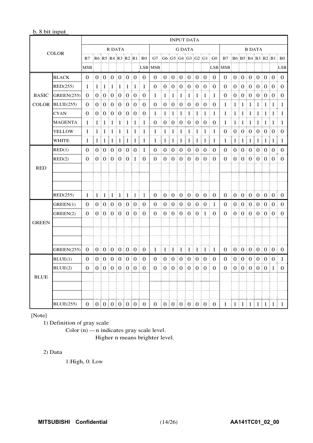#### b. 8 bit input

|              |                   |            |   |         |                                             |         |         |          |                           |                           |                |                   | <b>INPUT DATA</b>     |                       |                                               |            |                        |                |              |                 |         |               |                                                      |              |                      |
|--------------|-------------------|------------|---|---------|---------------------------------------------|---------|---------|----------|---------------------------|---------------------------|----------------|-------------------|-----------------------|-----------------------|-----------------------------------------------|------------|------------------------|----------------|--------------|-----------------|---------|---------------|------------------------------------------------------|--------------|----------------------|
|              | <b>COLOR</b>      |            |   |         | R DATA                                      |         |         |          |                           |                           |                |                   | <b>G DATA</b>         |                       |                                               |            |                        |                |              |                 |         | <b>B DATA</b> |                                                      |              |                      |
|              |                   | R7         |   |         |                                             |         |         |          | R6 R5 R4 R3 R2 R1 R0      | G7                        |                |                   |                       |                       |                                               |            | $GG$ G5 G4 G3 G2 G1 G0 | B7             |              |                 |         |               |                                                      |              | B6 B5 B4 B3 B2 B1 B0 |
|              |                   | <b>MSB</b> |   |         |                                             |         |         |          |                           | <b>LSB MSB</b>            |                |                   |                       |                       |                                               |            |                        | <b>LSB MSB</b> |              |                 |         |               |                                                      |              | <b>LSB</b>           |
|              | <b>BLACK</b>      | $\Omega$   |   |         | 0:0:0:0:0:0                                 |         |         |          | $\Omega$<br>ŧ.            | $\Omega$                  |                |                   |                       |                       | 0   0   0   0   0                             |            | $\overline{0}$<br>÷    | $\Omega$       |              |                 |         |               | 0   0   0   0   0                                    |              | $\Omega$<br>ŧ.       |
|              | RED(255)          | 1          |   | 1:1     | $\pm 1$                                     | $\pm 1$ | $\pm 1$ | $\pm 1$  | 1                         | 0                         |                | $0 \mid 0 \mid 0$ |                       |                       | 0.0000                                        |            | $\Omega$               | $\Omega$       | $\mathbf{0}$ |                 |         |               | 00000000                                             |              | $\Omega$<br>÷        |
| <b>BASIC</b> | <b>GREEN(255)</b> | $\Omega$   |   |         | 0:0:0:0:0:0                                 |         |         |          | $\theta$<br>ŧ.            | 1                         | 1              | 1                 | Ŧ.<br>-1              | 1<br>Ŧ.               | 1                                             | $\pm 1$    | 1                      | $\Omega$       |              |                 |         |               | 0:0:0:0:0:0                                          |              | $\Omega$             |
| <b>COLOR</b> | BLUE(255)         | $\Omega$   |   |         | 0:0:0:0:0:0                                 |         |         |          | $\Omega$<br>ŧ.            | 0                         |                | $0 \mid 0 \mid 0$ |                       |                       | $\begin{bmatrix} 0 & 0 & 0 \end{bmatrix}$     |            | $\theta$               | 1              | 1            | $\pm 1$         | $\pm 1$ | $\pm 1 \pm 1$ |                                                      | $\pm 1$      | 1                    |
|              | <b>CYAN</b>       | 0          |   |         | 0:0:0:0:0:                                  |         |         | $\Omega$ | ŧ.<br>$\Omega$            | 1                         | 1              | 1                 | -1                    | 1                     | 1                                             | $\pm$ 1    | -1                     | 1              | 1            | t<br>1          | -1      | 1:<br>÷       | 1                                                    | $\mathbf{1}$ | 1                    |
|              | <b>MAGENTA</b>    | 1          | 1 | $\pm 1$ | $\pm 1$                                     | $\pm 1$ | $\pm 1$ | 1        | 1                         | $\Omega$                  | $\Omega$       | $\Omega$          | $\boldsymbol{0}$<br>÷ | $\boldsymbol{0}$<br>÷ | $\frac{1}{2}$ 0                               | $\vdots$ 0 | $\Omega$               | 1              | 1            | $\pm 1$         | $\pm 1$ | 1<br>÷        | ÷<br>1                                               | 1            | 1                    |
|              | YELLOW            | 1          | 1 | ÷<br>1  | $\pm 1$                                     | $\pm 1$ | $\pm 1$ | $\pm 1$  | 1                         | 1                         | 1              | 1                 | -1                    | $\mathbf{1}$<br>÷     | 1                                             | $\pm 1$    | 1                      | 0              | 0            | $\frac{1}{2}$ 0 |         |               | $\begin{bmatrix} 0 & 0 & 0 \end{bmatrix}$            |              | $\Omega$             |
|              | WHITE             | 1          |   |         | $1 \mid 1 \mid 1 \mid 1 \mid 1 \mid 1$      |         |         |          | I<br>1                    | 1                         | 1              | $\lceil 1 \rceil$ | 1                     | $\lceil 1 \rceil$     | $\mathbf{1}$                                  | $\pm 1$    | 1                      | 1              | 1            |                 |         |               | 1 1 1 1 1                                            | Ξ            | 1                    |
|              | RED(1)            | $\Omega$   |   |         | 0:0:0:0:0:0                                 |         |         |          | ŧ.<br>-1                  | $\Omega$                  |                |                   |                       |                       | 0:0:0:0:0:0                                   |            | $\Omega$<br>÷          | $\Omega$       |              |                 |         |               | 0   0   0   0   0                                    |              | ÷<br>$\Omega$        |
|              | RED(2)            | $\Omega$   |   |         | 0:0:0:0:0                                   |         |         | $\pm 1$  | $\Omega$                  | $\Omega$                  |                |                   | 0:0:0:0:0             |                       |                                               | $\pm 0$    | $\Omega$               | $\Omega$       |              |                 |         |               | 0:0:0:0:0:0                                          |              | $\Omega$             |
| <b>RED</b>   |                   |            |   |         |                                             |         |         |          |                           |                           |                |                   |                       |                       |                                               |            |                        |                |              |                 |         |               |                                                      |              |                      |
|              |                   |            |   |         |                                             |         |         |          |                           |                           |                |                   |                       |                       |                                               |            |                        |                |              |                 |         |               |                                                      |              |                      |
|              |                   |            |   |         |                                             |         |         |          |                           |                           |                |                   |                       |                       |                                               |            |                        |                |              |                 |         |               |                                                      |              |                      |
|              | RED(255)          | 1          |   |         | $1 \mid 1 \mid 1 \mid 1 \mid 1 \mid 1 \mid$ |         |         |          | 1                         | $\mathbf{0}$<br>Ŧ         |                |                   |                       |                       | 0 0 0 0 0 0 0 0                               |            | $\overline{0}$<br>÷    | $\theta$       |              |                 |         |               | 0 0 0 0 0 0 0                                        |              | ÷.<br>$\theta$       |
|              | GREEN(1)          | $\Omega$   |   |         | 0:0:0:0:0:0                                 |         |         |          | $\theta$<br>÷.            | 0                         |                |                   |                       |                       | 0:0:0:0:0:0                                   |            | -1<br>÷                | 0              |              | 0   0   0       |         |               | 0:0:0                                                |              | $\theta$             |
|              | GREEN(2)          | $\Omega$   |   |         | 0:0:0:0:0:0                                 |         |         |          | $\Omega$<br>÷             | $\Omega$                  | 0:             |                   |                       |                       | 0:0:0:0:1                                     |            | $\Omega$               | $\Omega$       |              |                 |         |               | 0:0:0:0:0:0                                          |              | $\Omega$             |
| <b>GREEN</b> |                   |            |   |         |                                             |         |         |          |                           |                           |                |                   |                       |                       |                                               |            |                        |                |              |                 |         |               |                                                      |              |                      |
|              |                   |            |   |         |                                             |         |         |          |                           |                           |                |                   |                       |                       |                                               |            |                        |                |              |                 |         |               |                                                      |              |                      |
|              |                   |            |   |         |                                             |         |         |          |                           |                           |                |                   |                       |                       |                                               |            |                        |                |              |                 |         |               |                                                      |              |                      |
|              | <b>GREEN(255)</b> | $\Omega$   |   |         | 0 0 0 0 0 0 0                               |         |         |          | $\Omega$                  |                           |                |                   |                       |                       | $1 \mid 1 \mid 1 \mid 1 \mid 1 \mid 1 \mid 1$ |            | $\mathbf{1}$           | $\Omega$       |              |                 |         |               | 0 0 0 0 0 0 0                                        |              | $\Omega$             |
|              | BLUE(1)           | $\Omega$   |   |         | 0   0   0   0   0                           |         |         |          | ÷<br>$\theta$             | $\Omega$                  |                | 0:0:0             |                       | ŧ                     | 0:0:0                                         |            | $\theta$               | $\theta$       |              |                 |         |               | 0   0   0   0   0                                    |              | ÷.<br>-1             |
|              | BLUE(2)           | 0          |   |         | 0   0   0   0   0                           |         |         |          | $\Omega$<br>Ŧ.            | $\Omega$                  | 0 <sup>1</sup> |                   | 0:0                   | ÷                     | 0:0                                           | $\pm 0$    | $\theta$               | $\Omega$       |              |                 |         |               | 0   0   0   0   0 1                                  |              | $\theta$             |
| <b>BLUE</b>  |                   |            |   |         |                                             |         |         |          |                           |                           |                |                   |                       |                       |                                               |            |                        |                |              |                 |         |               |                                                      |              |                      |
|              |                   |            |   |         |                                             |         |         |          |                           |                           |                |                   |                       |                       |                                               |            |                        |                |              |                 |         |               |                                                      |              |                      |
|              |                   |            |   |         |                                             |         |         |          |                           |                           |                |                   |                       |                       |                                               |            |                        |                |              |                 |         |               |                                                      |              |                      |
|              | <b>BLUE(255)</b>  |            |   |         |                                             |         |         |          | 0   0   0   0   0   0   0 | 0   0   0   0   0   0   0 |                |                   |                       |                       |                                               |            |                        |                |              |                 |         |               | $1 \mid 1 \mid 1 \mid 1 \mid 1 \mid 1 \mid 1 \mid 1$ |              |                      |

[Note]

1) Definition of gray scale

Color (n) --- n indicates gray scale level. Higher n means brighter level.

#### 2) Data

1:High, 0: Low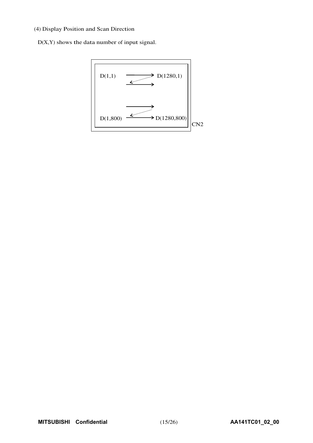#### (4) Display Position and Scan Direction

D(X,Y) shows the data number of input signal.

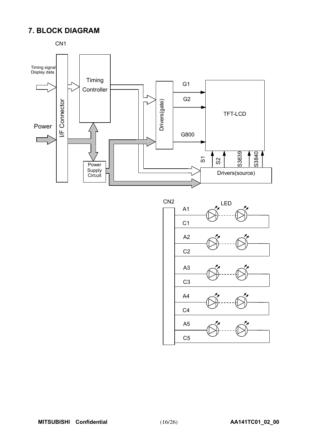# **7. BLOCK DIAGRAM**



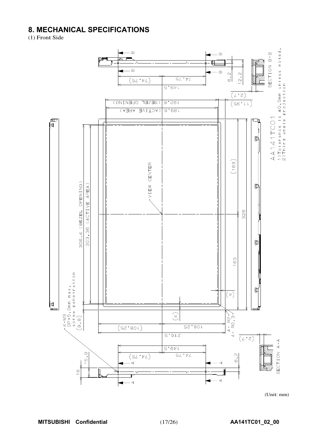# **8. MECHANICAL SPECIFICATIONS**

(1) Front Side



 $(Unit: mm)$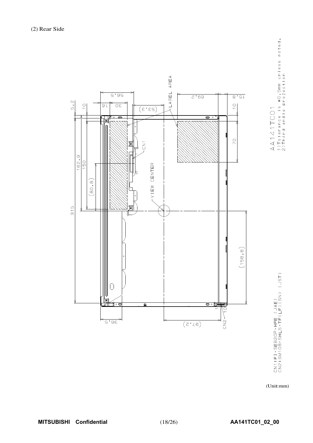

AA141TCO1<br>1)Tolerance is ±0.5mm unless noted.<br>2)Third angle projection

CN1:FI-SEB2OP-HFE (JAE)<br>CN2:SM1OB-SHLS-TF(LF)(SN) (JST)

(Unit:mm)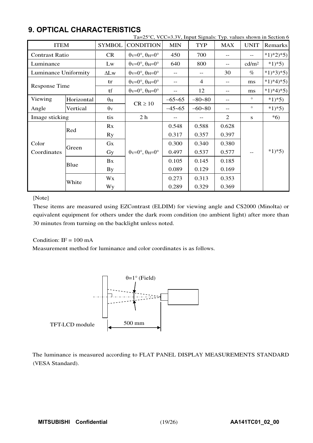|                       |            |                  | Ta=25°C, VCC=3.3V, Input Signals: Typ. values shown in Section 6      |            |                |            |                   |           |
|-----------------------|------------|------------------|-----------------------------------------------------------------------|------------|----------------|------------|-------------------|-----------|
| <b>ITEM</b>           |            | <b>SYMBOL</b>    | <b>CONDITION</b>                                                      | <b>MIN</b> | <b>TYP</b>     | <b>MAX</b> | <b>UNIT</b>       | Remarks   |
| <b>Contrast Ratio</b> |            | CR               | $\theta$ <sub>V</sub> = $0^\circ$ , $\theta$ <sub>H</sub> = $0^\circ$ | 450        | 700            | --         | $-$               | $*1)*2*5$ |
| Luminance             |            | Lw               | $\theta$ v=0°, $\theta$ H=0°                                          | 640        | 800            | $-$        | cd/m <sup>2</sup> | $*1)*5)$  |
| Luminance Uniformity  |            | $\Delta L$ w     | $\theta$ v=0°, $\theta$ H=0°                                          | $- -$      |                | 30         | $\%$              | $*1)*3*5$ |
|                       |            | tr               | $\theta$ v=0°, $\theta$ H=0°                                          | $- -$      | $\overline{4}$ | $-$        | ms                | $*1)*4*5$ |
| <b>Response Time</b>  |            | tf               | $\theta$ v=0°, $\theta$ H=0°                                          | $- -$      | 12             | $-$        | ms                | $*1)*4*5$ |
| Viewing               | Horizontal | $\theta_{\rm H}$ | $CR \ge 10$                                                           | $-65 - 65$ | $-80 - 80$     | $-$        | $\circ$           | $*1)*5)$  |
| Angle                 | Vertical   | $\theta$ v       |                                                                       | $-45 - 65$ | $-60 - 80$     | $-$        | $\circ$           | $*1)*5)$  |
| Image sticking        |            | tis              | 2 <sub>h</sub>                                                        | --         |                | 2          | S                 | $*6)$     |
|                       | Red        | Rx               |                                                                       | 0.548      | 0.588          | 0.628      |                   |           |
|                       |            | Ry               |                                                                       | 0.317      | 0.357          | 0.397      |                   |           |
| Color                 | Green      | Gx               |                                                                       | 0.300      | 0.340          | 0.380      |                   |           |
| Coordinates           |            | Gy               | $\theta$ v=0°, $\theta$ H=0°                                          | 0.497      | 0.537          | 0.577      |                   | $*1)*5)$  |
| Blue                  |            | Bx               |                                                                       | 0.105      | 0.145          | 0.185      |                   |           |
|                       |            | <b>By</b>        |                                                                       | 0.089      | 0.129          | 0.169      |                   |           |
| White                 |            | Wx               |                                                                       | 0.273      | 0.313          | 0.353      |                   |           |
|                       |            | Wy               |                                                                       | 0.289      | 0.329          | 0.369      |                   |           |

# **9. OPTICAL CHARACTERISTICS**

#### [Note]

These items are measured using EZContrast (ELDIM) for viewing angle and CS2000 (Minolta) or equivalent equipment for others under the dark room condition (no ambient light) after more than 30 minutes from turning on the backlight unless noted.

#### Condition:  $IF = 100 \text{ mA}$

Measurement method for luminance and color coordinates is as follows.



The luminance is measured according to FLAT PANEL DISPLAY MEASUREMENTS STANDARD (VESA Standard).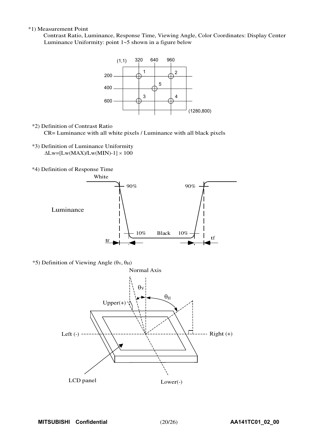#### \*1) Measurement Point

Contrast Ratio, Luminance, Response Time, Viewing Angle, Color Coordinates: Display Center Luminance Uniformity: point  $1-5$  shown in a figure below



#### \*2) Definition of Contrast Ratio

CR= Luminance with all white pixels / Luminance with all black pixels

\*3) Definition of Luminance Uniformity

 $\Delta$ Lw=[Lw(MAX)/Lw(MIN)-1]  $\times$  100

\*4) Definition of Response Time



 $*$ 5) Definition of Viewing Angle ( $\theta$ v,  $\theta$ <sub>H</sub>)

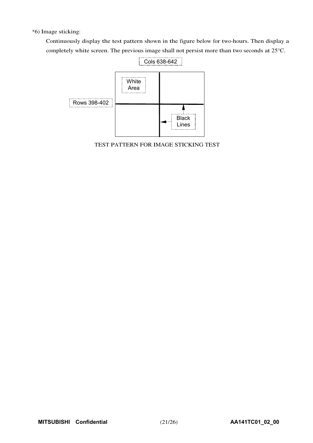\*6) Image sticking:

Continuously display the test pattern shown in the figure below for two-hours. Then display a completely white screen. The previous image shall not persist more than two seconds at 25°C.



TEST PATTERN FOR IMAGE STICKING TEST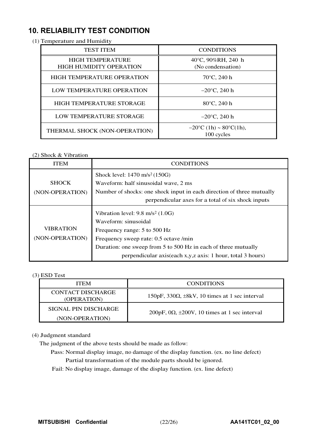# **10. RELIABILITY TEST CONDITION**

(1) Temperature and Humidity

| <b>TEST ITEM</b>                                          | <b>CONDITIONS</b>                       |
|-----------------------------------------------------------|-----------------------------------------|
| <b>HIGH TEMPERATURE</b><br><b>HIGH HUMIDITY OPERATION</b> | 40°C, 90%RH, 240 h<br>(No condensation) |
| <b>HIGH TEMPERATURE OPERATION</b>                         | $70^{\circ}$ C, 240 h                   |
| LOW TEMPERATURE OPERATION                                 | $-20^{\circ}$ C, 240 h                  |
| HIGH TEMPERATURE STORAGE                                  | 80°C, 240 h                             |
| LOW TEMPERATURE STORAGE                                   | $-20^{\circ}$ C, 240 h                  |
| THERMAL SHOCK (NON-OPERATION)                             | $-20$ °C (1h) ~ 80°C(1h),<br>100 cycles |

#### (2) Shock & Vibration

| <b>ITEM</b>                         | <b>CONDITIONS</b>                                                                                                                                                                                                                                                            |
|-------------------------------------|------------------------------------------------------------------------------------------------------------------------------------------------------------------------------------------------------------------------------------------------------------------------------|
|                                     | Shock level: $1470 \text{ m/s}^2 (150G)$                                                                                                                                                                                                                                     |
| <b>SHOCK</b>                        | Waveform: half sinusoidal wave, 2 ms                                                                                                                                                                                                                                         |
| (NON-OPERATION)                     | Number of shocks: one shock input in each direction of three mutually                                                                                                                                                                                                        |
|                                     | perpendicular axes for a total of six shock inputs                                                                                                                                                                                                                           |
| <b>VIBRATION</b><br>(NON-OPERATION) | Vibration level: $9.8 \text{ m/s}^2$ (1.0G)<br>Waveform: sinusoidal<br>Frequency range: 5 to 500 Hz<br>Frequency sweep rate: 0.5 octave /min<br>Duration: one sweep from 5 to 500 Hz in each of three mutually<br>perpendicular axis(each x,y,z axis: 1 hour, total 3 hours) |

#### (3) ESD Test

| <b>ITEM</b>                             | <b>CONDITIONS</b>                                              |
|-----------------------------------------|----------------------------------------------------------------|
| <b>CONTACT DISCHARGE</b><br>(OPERATION) | $150pF$ , $330\Omega$ , $\pm 8kV$ , 10 times at 1 sec interval |
| SIGNAL PIN DISCHARGE                    | $200pF$ , $0\Omega$ , $\pm 200V$ , 10 times at 1 sec interval  |
| (NON-OPERATION)                         |                                                                |

#### (4) Judgment standard

The judgment of the above tests should be made as follow:

- Pass: Normal display image, no damage of the display function. (ex. no line defect) Partial transformation of the module parts should be ignored.
- Fail: No display image, damage of the display function. (ex. line defect)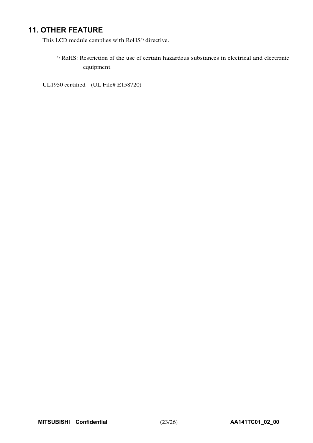# **11. OTHER FEATURE**

This LCD module complies with RoHS\*) directive.

\*) RoHS: Restriction of the use of certain hazardous substances in electrical and electronic equipment

UL1950 certified (UL File# E158720)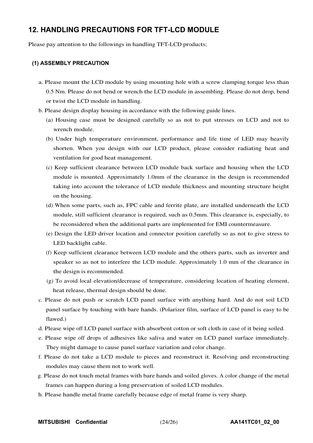## **12. HANDLING PRECAUTIONS FOR TFT-LCD MODULE**

Please pay attention to the followings in handling TFT-LCD products;

#### **(1) ASSEMBLY PRECAUTION**

- a. Please mount the LCD module by using mounting hole with a screw clamping torque less than 0.5 Nm. Please do not bend or wrench the LCD module in assembling. Please do not drop, bend or twist the LCD module in handling.
- b. Please design display housing in accordance with the following guide lines.
	- (a) Housing case must be designed carefully so as not to put stresses on LCD and not to wrench module.
	- (b) Under high temperature environment, performance and life time of LED may heavily shorten. When you design with our LCD product, please consider radiating heat and ventilation for good heat management.
	- (c) Keep sufficient clearance between LCD module back surface and housing when the LCD module is mounted. Approximately 1.0mm of the clearance in the design is recommended taking into account the tolerance of LCD module thickness and mounting structure height on the housing.
	- (d) When some parts, such as, FPC cable and ferrite plate, are installed underneath the LCD module, still sufficient clearance is required, such as 0.5mm. This clearance is, especially, to be reconsidered when the additional parts are implemented for EMI countermeasure.
	- (e) Design the LED driver location and connector position carefully so as not to give stress to LED backlight cable.
	- (f) Keep sufficient clearance between LCD module and the others parts, such as inverter and speaker so as not to interfere the LCD module. Approximately 1.0 mm of the clearance in the design is recommended.
	- (g) To avoid local elevation/decrease of temperature, considering location of heating element, heat release, thermal design should be done.
- c. Please do not push or scratch LCD panel surface with anything hard. And do not soil LCD panel surface by touching with bare hands. (Polarizer film, surface of LCD panel is easy to be flawed.)
- d. Please wipe off LCD panel surface with absorbent cotton or soft cloth in case of it being soiled.
- e. Please wipe off drops of adhesives like saliva and water on LCD panel surface immediately. They might damage to cause panel surface variation and color change.
- f. Please do not take a LCD module to pieces and reconstruct it. Resolving and reconstructing modules may cause them not to work well.
- g. Please do not touch metal frames with bare hands and soiled gloves. A color change of the metal frames can happen during a long preservation of soiled LCD modules.
- h. Please handle metal frame carefully because edge of metal frame is very sharp.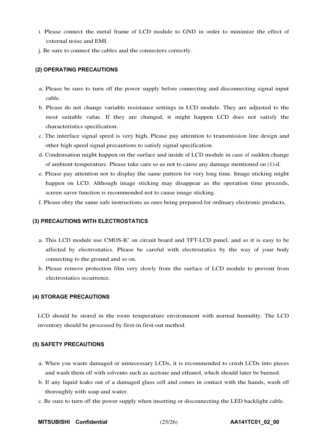- i. Please connect the metal frame of LCD module to GND in order to minimize the effect of external noise and EMI.
- j. Be sure to connect the cables and the connecters correctly.

#### **(2) OPERATING PRECAUTIONS**

- a. Please be sure to turn off the power supply before connecting and disconnecting signal input cable.
- b. Please do not change variable resistance settings in LCD module. They are adjusted to the most suitable value. If they are changed, it might happen LCD does not satisfy the characteristics specification.
- c. The interface signal speed is very high. Please pay attention to transmission line design and other high speed signal precautions to satisfy signal specification.
- d. Condensation might happen on the surface and inside of LCD module in case of sudden change of ambient temperature. Please take care so as not to cause any damage mentioned on (1)-d.
- e. Please pay attention not to display the same pattern for very long time. Image sticking might happen on LCD. Although image sticking may disappear as the operation time proceeds, screen saver function is recommended not to cause image sticking.
- f. Please obey the same safe instructions as ones being prepared for ordinary electronic products.

#### **(3) PRECAUTIONS WITH ELECTROSTATICS**

- a. This LCD module use CMOS-IC on circuit board and TFT-LCD panel, and so it is easy to be affected by electrostatics. Please be careful with electrostatics by the way of your body connecting to the ground and so on.
- b. Please remove protection film very slowly from the surface of LCD module to prevent from electrostatics occurrence.

#### **(4) STORAGE PRECAUTIONS**

LCD should be stored in the room temperature environment with normal humidity. The LCD inventory should be processed by first-in first-out method.

#### **(5) SAFETY PRECAUTIONS**

- a. When you waste damaged or unnecessary LCDs, it is recommended to crush LCDs into pieces and wash them off with solvents such as acetone and ethanol, which should later be burned.
- b. If any liquid leaks out of a damaged glass cell and comes in contact with the hands, wash off thoroughly with soap and water.
- c. Be sure to turn off the power supply when inserting or disconnecting the LED backlight cable.